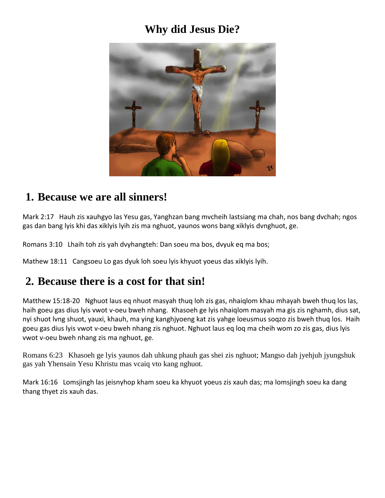# **Why did Jesus Die?**



### **1. Because we are all sinners!**

Mark 2:17 Hauh zis xauhgyo las Yesu gas, Yanghzan bang mvcheih lastsiang ma chah, nos bang dvchah; ngos gas dan bang lyis khi das xiklyis lyih zis ma nghuot, yaunos wons bang xiklyis dvnghuot, ge.

Romans 3:10 Lhaih toh zis yah dvyhangteh: Dan soeu ma bos, dvyuk eq ma bos;

Mathew 18:11 Cangsoeu Lo gas dyuk loh soeu lyis khyuot yoeus das xiklyis lyih.

### **2. Because there is a cost for that sin!**

Matthew 15:18-20 Nghuot laus eq nhuot masyah thuq loh zis gas, nhaiqlom khau mhayah bweh thuq los las, haih goeu gas dius lyis vwot v-oeu bweh nhang. Khasoeh ge lyis nhaiqlom masyah ma gis zis nghamh, dius sat, nyi shuot lvng shuot, yauxi, khauh, ma ying kanghjyoeng kat zis yahge loeusmus soqzo zis bweh thuq los. Haih goeu gas dius lyis vwot v-oeu bweh nhang zis nghuot. Nghuot laus eq loq ma cheih wom zo zis gas, dius lyis vwot v-oeu bweh nhang zis ma nghuot, ge.

Romans 6:23 Khasoeh ge lyis yaunos dah uhkung phauh gas shei zis nghuot; Mangso dah jyehjuh jyungshuk gas yah Yhensain Yesu Khristu mas vcaiq vto kang nghuot.

Mark 16:16 Lomsjingh las jeisnyhop kham soeu ka khyuot yoeus zis xauh das; ma lomsjingh soeu ka dang thang thyet zis xauh das.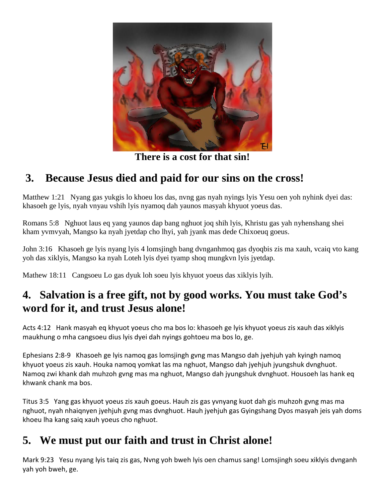

**There is a cost for that sin!**

# **3. Because Jesus died and paid for our sins on the cross!**

Matthew 1:21 Nyang gas yukgis lo khoeu los das, nvng gas nyah nyings lyis Yesu oen yoh nyhink dyei das: khasoeh ge lyis, nyah vnyau vshih lyis nyamoq dah yaunos masyah khyuot yoeus das.

Romans 5:8 Nghuot laus eq yang yaunos dap bang nghuot joq shih lyis, Khristu gas yah nyhenshang shei kham yvmvyah, Mangso ka nyah jyetdap cho lhyi, yah jyank mas dede Chixoeuq goeus.

John 3:16 Khasoeh ge lyis nyang lyis 4 lomsjingh bang dvnganhmoq gas dyoqbis zis ma xauh, vcaiq vto kang yoh das xiklyis, Mangso ka nyah Loteh lyis dyei tyamp shoq mungkvn lyis jyetdap.

Mathew 18:11 Cangsoeu Lo gas dyuk loh soeu lyis khyuot yoeus das xiklyis lyih.

# **4. Salvation is a free gift, not by good works. You must take God's word for it, and trust Jesus alone!**

Acts 4:12 Hank masyah eq khyuot yoeus cho ma bos lo: khasoeh ge lyis khyuot yoeus zis xauh das xiklyis maukhung o mha cangsoeu dius lyis dyei dah nyings gohtoeu ma bos lo, ge.

Ephesians 2:8-9 Khasoeh ge lyis namoq gas lomsjingh gvng mas Mangso dah jyehjuh yah kyingh namoq khyuot yoeus zis xauh. Houka namoq yomkat las ma nghuot, Mangso dah jyehjuh jyungshuk dvnghuot. Namoq zwi khank dah muhzoh gvng mas ma nghuot, Mangso dah jyungshuk dvnghuot. Housoeh las hank eq khwank chank ma bos.

Titus 3:5 Yang gas khyuot yoeus zis xauh goeus. Hauh zis gas yvnyang kuot dah gis muhzoh gvng mas ma nghuot, nyah nhaiqnyen jyehjuh gvng mas dvnghuot. Hauh jyehjuh gas Gyingshang Dyos masyah jeis yah doms khoeu lha kang saiq xauh yoeus cho nghuot.

### **5. We must put our faith and trust in Christ alone!**

Mark 9:23 Yesu nyang lyis taiq zis gas, Nvng yoh bweh lyis oen chamus sang! Lomsjingh soeu xiklyis dvnganh yah yoh bweh, ge.